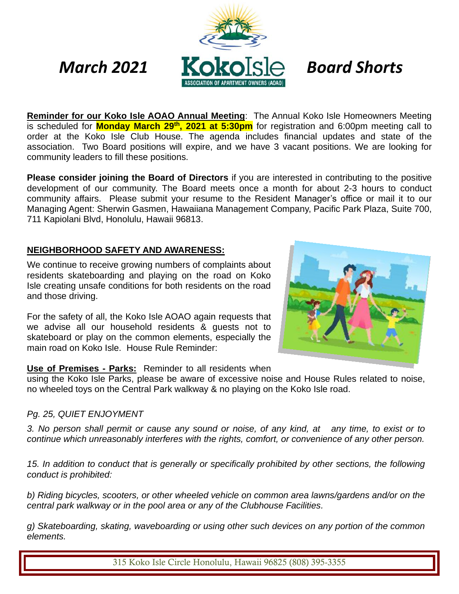

**Reminder for our Koko Isle AOAO Annual Meeting**: The Annual Koko Isle Homeowners Meeting is scheduled for **Monday March 29<sup>th</sup>, 2021 at 5:30pm** for registration and 6:00pm meeting call to order at the Koko Isle Club House. The agenda includes financial updates and state of the association. Two Board positions will expire, and we have 3 vacant positions. We are looking for community leaders to fill these positions.

**Please consider joining the Board of Directors** if you are interested in contributing to the positive development of our community. The Board meets once a month for about 2-3 hours to conduct community affairs. Please submit your resume to the Resident Manager's office or mail it to our Managing Agent: Sherwin Gasmen, Hawaiiana Management Company, Pacific Park Plaza, Suite 700, 711 Kapiolani Blvd, Honolulu, Hawaii 96813.

### **NEIGHBORHOOD SAFETY AND AWARENESS:**

We continue to receive growing numbers of complaints about residents skateboarding and playing on the road on Koko Isle creating unsafe conditions for both residents on the road and those driving.

For the safety of all, the Koko Isle AOAO again requests that we advise all our household residents & guests not to skateboard or play on the common elements, especially the main road on Koko Isle. House Rule Reminder:



#### **Use of Premises - Parks:** Reminder to all residents when

using the Koko Isle Parks, please be aware of excessive noise and House Rules related to noise, no wheeled toys on the Central Park walkway & no playing on the Koko Isle road.

#### *Pg. 25, QUIET ENJOYMENT*

*3. No person shall permit or cause any sound or noise, of any kind, at any time, to exist or to continue which unreasonably interferes with the rights, comfort, or convenience of any other person.*

*15. In addition to conduct that is generally or specifically prohibited by other sections, the following conduct is prohibited:*

*b) Riding bicycles, scooters, or other wheeled vehicle on common area lawns/gardens and/or on the central park walkway or in the pool area or any of the Clubhouse Facilities.*

*g) Skateboarding, skating, waveboarding or using other such devices on any portion of the common elements.* 

315 Koko Isle Circle Honolulu, Hawaii 96825 (808) 395-3355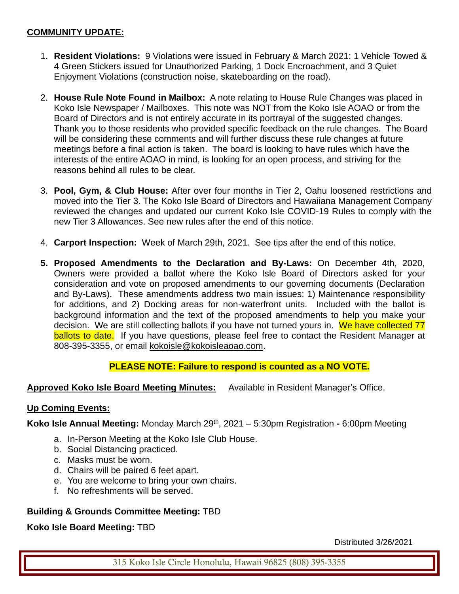### **COMMUNITY UPDATE:**

- 1. **Resident Violations:** 9 Violations were issued in February & March 2021: 1 Vehicle Towed & 4 Green Stickers issued for Unauthorized Parking, 1 Dock Encroachment, and 3 Quiet Enjoyment Violations (construction noise, skateboarding on the road).
- 2. **House Rule Note Found in Mailbox:** A note relating to House Rule Changes was placed in Koko Isle Newspaper / Mailboxes. This note was NOT from the Koko Isle AOAO or from the Board of Directors and is not entirely accurate in its portrayal of the suggested changes. Thank you to those residents who provided specific feedback on the rule changes. The Board will be considering these comments and will further discuss these rule changes at future meetings before a final action is taken. The board is looking to have rules which have the interests of the entire AOAO in mind, is looking for an open process, and striving for the reasons behind all rules to be clear.
- 3. **Pool, Gym, & Club House:** After over four months in Tier 2, Oahu loosened restrictions and moved into the Tier 3. The Koko Isle Board of Directors and Hawaiiana Management Company reviewed the changes and updated our current Koko Isle COVID-19 Rules to comply with the new Tier 3 Allowances. See new rules after the end of this notice.
- 4. **Carport Inspection:** Week of March 29th, 2021. See tips after the end of this notice.
- **5. Proposed Amendments to the Declaration and By-Laws:** On December 4th, 2020, Owners were provided a ballot where the Koko Isle Board of Directors asked for your consideration and vote on proposed amendments to our governing documents (Declaration and By-Laws). These amendments address two main issues: 1) Maintenance responsibility for additions, and 2) Docking areas for non-waterfront units. Included with the ballot is background information and the text of the proposed amendments to help you make your decision. We are still collecting ballots if you have not turned yours in. We have collected 77 ballots to date. If you have questions, please feel free to contact the Resident Manager at 808-395-3355, or email [kokoisle@kokoisleaoao.com.](mailto:kokoisle@kokoisleaoao.com)

### **PLEASE NOTE: Failure to respond is counted as a NO VOTE.**

**Approved Koko Isle Board Meeting Minutes:** Available in Resident Manager's Office.

#### **Up Coming Events:**

**Koko Isle Annual Meeting:** Monday March 29<sup>th</sup>, 2021 – 5:30pm Registration - 6:00pm Meeting

- a. In-Person Meeting at the Koko Isle Club House.
- b. Social Distancing practiced.
- c. Masks must be worn.
- d. Chairs will be paired 6 feet apart.
- e. You are welcome to bring your own chairs.
- f. No refreshments will be served.

### **Building & Grounds Committee Meeting:** TBD

**Koko Isle Board Meeting:** TBD

Distributed 3/26/2021

315 Koko Isle Circle Honolulu, Hawaii 96825 (808) 395-3355